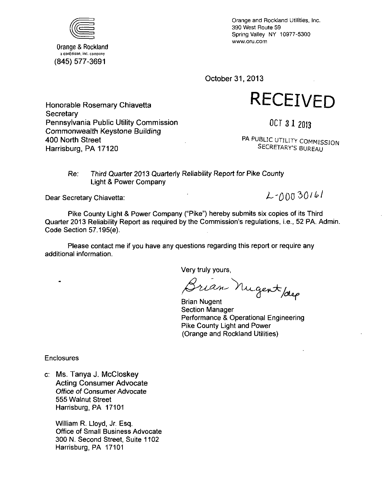

Orange & Rockland a eonEdison, inc. company (845) 577-3691

**Secretary** 

400 North Street Harrisburg, PA 17120

Honorable Rosemary Chiavetta

Pennsylvania Public Utility Commission Commonwealth Keystone Building

Orange and Rockland Utilities, Inc. 390 West Route 59 Spring Valley NY 10977-5300 www.oru.com

October 31, 2013

**RECEIVED** 

OCT 312013

PA PUBLIC UTILITY COMMISSION SECRETARY'S BUREAU

Re: Third Quarter 2013 Quarterly Reliability Report for Pike County Light & Power Company

Dear Secretary Chiavetta:

 $2 - 0.0030161$ 

Pike County Light & Power Company ("Pike") hereby submits six copies of its Third Quarter 2013 Reliability Report as required by the Commission's regulations, i.e., 52 PA. Admin. Code Section 57.195(e).

Please contact me if you have any questions regarding this report or require any additional information.

Very truly yours,

Brian Nugent /dep

Section Manager Performance & Operational Engineering Pike County Light and Power (Orange and Rockland Utilities)

Enclosures

c: Ms. Tanya J. McCloskey Acting Consumer Advocate Office of Consumer Advocate 555 Walnut Street Harrisburg, PA 17101

> William R. Lloyd, Jr. Esq. Office of Small Business Advocate 300 N. Second Street, Suite 1102 Harrisburg, PA 17101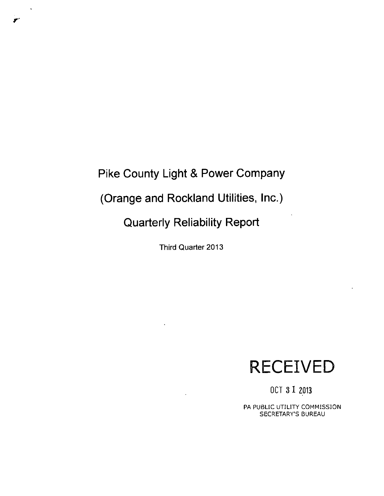## **Pike County Light & Power Company**

**(Orange and Rockland Utilities, Inc.)** 

**Quarterly Reliability Report** 

Third Quarter 2013

# **RECEIVED**

OCT 3 1 2013

PA PUBLIC UTILITY COMMISSION SECRETARY'S BUREAU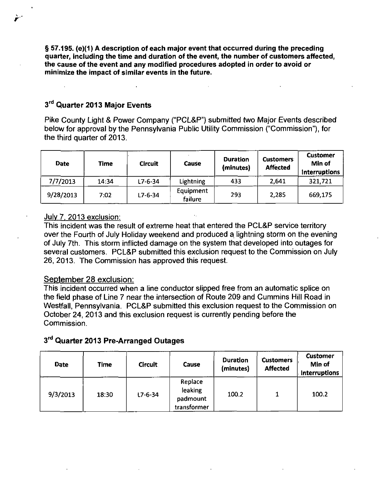§ 57.195. (e)(1) A description of each major event that occurred during the preceding quarter, including the time and duration of the event, the number of customers affected, the cause of the event and any modified procedures adopted in order to avoid or minimize the impact of similar events in the future.

#### 3<sup>ra</sup> Quarter 2013 Major Events

r

Pike County Light & Power Company ("PCL&P") submitted two Major Events described below for approval by the Pennsylvania Public Utility Commission ("Commission"), for the third quarter of 2013.

| <b>Date</b> | Time  | <b>Circuit</b> | Cause                | <b>Duration</b><br>(minutes) | <b>Customers</b><br><b>Affected</b> | <b>Customer</b><br>Min of<br>Interruptions |
|-------------|-------|----------------|----------------------|------------------------------|-------------------------------------|--------------------------------------------|
| 7/7/2013    | 14:34 | $L7 - 6 - 34$  | Lightning            | 433                          | 2,641                               | 321,721                                    |
| 9/28/2013   | 7.02  | $L7 - 6 - 34$  | Equipment<br>failure | 293                          | 2,285                               | 669,175                                    |

#### July 7. 2013 exclusion:

This incident was the result of extreme heat that entered the PCL&P service territory over the Fourth of July Holiday weekend and produced a lightning storm on the evening of July 7th. This storm inflicted damage on the system that developed into outages for several customers. PCL&P submitted this exclusion request to the Commission on July 26, 2013. The Commission has approved this request.

#### September 28 exclusion:

This incident occurred when a line conductor slipped free from an automatic splice on the field phase of Line 7 near the intersection of Route 209 and Cummins Hill Road in Westfall, Pennsylvania. PCL&P submitted this exclusion request to the Commission on October 24, 2013 and this exclusion request is currently pending before the **Commission** 

|  |  |  | 3rd Quarter 2013 Pre-Arranged Outages |  |
|--|--|--|---------------------------------------|--|
|--|--|--|---------------------------------------|--|

| <b>Date</b> | Time  | <b>Circuit</b> | <b>Cause</b>                                  | <b>Duration</b><br>(minutes) | <b>Customers</b><br><b>Affected</b> | <b>Customer</b><br>Min of<br><b>Interruptions</b> |
|-------------|-------|----------------|-----------------------------------------------|------------------------------|-------------------------------------|---------------------------------------------------|
| 9/3/2013    | 18:30 | $L7 - 6 - 34$  | Replace<br>leaking<br>padmount<br>transformer | 100.2                        |                                     | 100.2                                             |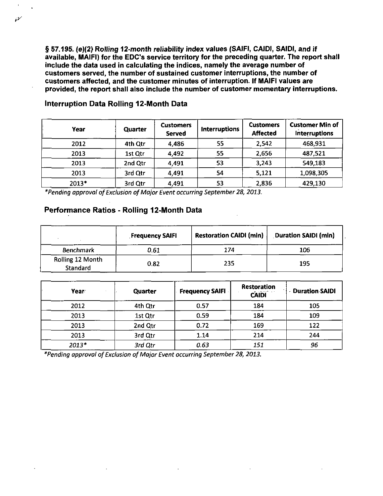**§ 57.195. (e)(2) Rolling 12-month reliability index values (SAJFI, CAIDI, SAID), and if available, MAIFI) for the EDC's service territory for the preceding quarter. The report shall include the data used in calculating the indices, namely the average number of customers served, the number of sustained customer interruptions, the number of customers affected, and the customer minutes of interruption. If MAIFI values are provided, the report shall also include the number of customer momentary interruptions.** 

| Year  | Quarter | <b>Customers</b><br><b>Served</b> | <b>Interruptions</b> | <b>Customers</b><br><b>Affected</b> | <b>Customer Min of</b><br><b>Interruptions</b> |
|-------|---------|-----------------------------------|----------------------|-------------------------------------|------------------------------------------------|
| 2012  | 4th Qtr | 4,486                             | 55                   | 2,542                               | 468,931                                        |
| 2013  | 1st Qtr | 4,492                             | 55                   | 2,656                               | 487,521                                        |
| 2013  | 2nd Qtr | 4,491                             | 53                   | 3,243                               | 549,183                                        |
| 2013  | 3rd Qtr | 4,491                             | 54                   | 5,121                               | 1,098,305                                      |
| 2013* | 3rd Qtr | 4,491                             | 53                   | 2,836                               | 429,130                                        |

**Interruption Data Rolling 12-Month Data** 

مهمو

**\*Pending approval of Exclusion of Major Event occurring September 28, 2013.** 

### **Performance Ratios - Rolling 12-Month Data**

|                              | <b>Frequency SAIFI</b> | <b>Restoration CAIDI (min)</b> | <b>Duration SAIDI (min)</b> |
|------------------------------|------------------------|--------------------------------|-----------------------------|
| <b>Benchmark</b>             | 0.61                   | 174                            | 106                         |
| Rolling 12 Month<br>Standard | 0.82                   | 235                            | 195                         |

| Year  | <b>Quarter</b> | <b>Frequency SAIFI</b> | <b>Restoration</b><br><b>CAIDI</b> | - Duration SAIDI |
|-------|----------------|------------------------|------------------------------------|------------------|
| 2012  | 4th Qtr        | 0.57                   | 184                                | 105              |
| 2013  | 1st Qtr        | 0.59                   | 184                                | 109              |
| 2013  | 2nd Qtr        | 0.72                   | 169                                | 122              |
| 2013  | 3rd Qtr        | 1.14                   | 214                                | 244              |
| 2013* | 3rd Qtr        | 0.63                   | 151                                | 96               |

^Pending approval of Exclusion of Major Event occurring September 28, 2013.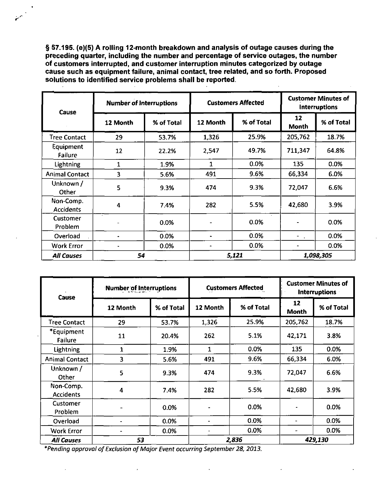**§ S7.195. (e)(5) A rolling 12-month breakdown and analysis of outage causes during the preceding quarter, including the number and percentage of service outages, the number of customers interrupted, and customer interruption minutes categorized by outage cause such as equipment failure, animal contact, tree related, and so forth. Proposed solutions to identified service problems shall be reported.** 

| Cause                  | <b>Number of Interruptions</b> |            | <b>Customers Affected</b> |            | <b>Customer Minutes of</b><br><b>Interruptions</b> |            |
|------------------------|--------------------------------|------------|---------------------------|------------|----------------------------------------------------|------------|
|                        | 12 Month                       | % of Total | 12 Month                  | % of Total | 12<br>Month                                        | % of Total |
| <b>Tree Contact</b>    | 29                             | 53.7%      | 1,326                     | 25.9%      | 205,762                                            | 18.7%      |
| Equipment<br>Failure   | 12                             | 22.2%      | 2,547                     | 49.7%      | 711,347                                            | 64.8%      |
| Lightning              | 1                              | 1.9%       | $\mathbf{1}$              | 0.0%       | 135                                                | 0.0%       |
| <b>Animal Contact</b>  | 3                              | 5.6%       | 491                       | 9.6%       | 66,334                                             | 6.0%       |
| Unknown /<br>Other     | 5                              | 9.3%       | 474                       | 9.3%       | 72,047                                             | 6.6%       |
| Non-Comp.<br>Accidents | $\overline{4}$                 | 7.4%       | 282                       | 5.5%       | 42,680                                             | 3.9%       |
| Customer<br>Problem    |                                | 0.0%       | $\bullet$                 | 0.0%       |                                                    | 0.0%       |
| Overload               | $\blacksquare$                 | 0.0%       | $\blacksquare$            | 0.0%       | -<br>$\ddot{\phantom{0}}$                          | 0.0%       |
| <b>Work Error</b>      | $\blacksquare$                 | 0.0%       | ۰                         | 0.0%       |                                                    | 0.0%       |
| <b>All Causes</b>      | 54                             |            | 5,121                     |            | 1,098,305                                          |            |

| Cause                         | Number of Interruptions |            | <b>Customers Affected</b> |            | <b>Customer Minutes of</b><br><b>Interruptions</b> |            |  |
|-------------------------------|-------------------------|------------|---------------------------|------------|----------------------------------------------------|------------|--|
|                               | 12 Month                | % of Total | 12 Month                  | % of Total | 12<br>Month                                        | % of Total |  |
| <b>Tree Contact</b>           | 29                      | 53.7%      | 1.326                     | 25.9%      | 205,762                                            | 18.7%      |  |
| *Equipment<br>Failure         | 11                      | 20.4%      | 262                       | 5.1%       | 42,171                                             | 3.8%       |  |
| <b>Lightning</b>              | 1                       | 1.9%       | 1                         | 0.0%       | 135                                                | 0.0%       |  |
| <b>Animal Contact</b>         | 3                       | 5.6%       | 491                       | 9.6%       | 66,334                                             | 6.0%       |  |
| Unknown /<br>Other            | 5                       | 9.3%       | 474                       | 9.3%       | 72,047                                             | 6.6%       |  |
| Non-Comp.<br><b>Accidents</b> | 4                       | 7.4%       | 282                       | 5.5%       | 42,680                                             | 3.9%       |  |
| Customer<br>Problem           |                         | 0.0%       |                           | 0.0%       |                                                    | 0.0%       |  |
| Overload                      |                         | 0.0%       |                           | 0.0%       |                                                    | 0.0%       |  |
| <b>Work Error</b>             |                         | 0.0%       | $\overline{\phantom{a}}$  | 0.0%       | $\overline{\phantom{a}}$                           | 0.0%       |  |
| <b>All Causes</b>             | 53                      |            | 2,836                     |            |                                                    | 429,130    |  |

 $\ddot{\phantom{a}}$ 

"Pending approval of Exclusion of Major Event occurring September 28, 2013.

 $\overline{a}$ 

 $\overline{\phantom{a}}$